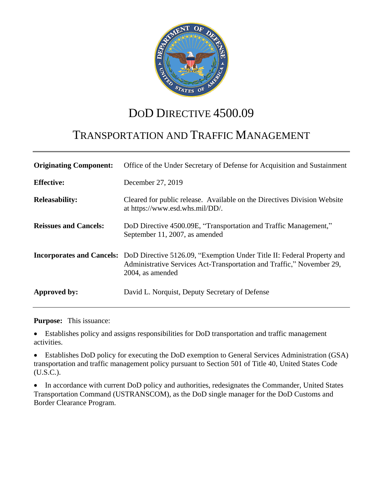

# DOD DIRECTIVE 4500.09

# TRANSPORTATION AND TRAFFIC MANAGEMENT

| <b>Originating Component:</b> | Office of the Under Secretary of Defense for Acquisition and Sustainment                                                                                                                      |
|-------------------------------|-----------------------------------------------------------------------------------------------------------------------------------------------------------------------------------------------|
| <b>Effective:</b>             | December 27, 2019                                                                                                                                                                             |
| <b>Releasability:</b>         | Cleared for public release. Available on the Directives Division Website<br>at https://www.esd.whs.mil/DD/.                                                                                   |
| <b>Reissues and Cancels:</b>  | DoD Directive 4500.09E, "Transportation and Traffic Management,"<br>September 11, 2007, as amended                                                                                            |
|                               | Incorporates and Cancels: DoD Directive 5126.09, "Exemption Under Title II: Federal Property and<br>Administrative Services Act-Transportation and Traffic," November 29,<br>2004, as amended |
| Approved by:                  | David L. Norquist, Deputy Secretary of Defense                                                                                                                                                |

**Purpose:** This issuance:

 Establishes policy and assigns responsibilities for DoD transportation and traffic management activities.

 Establishes DoD policy for executing the DoD exemption to General Services Administration (GSA) transportation and traffic management policy pursuant to Section 501 of Title 40, United States Code (U.S.C.).

• In accordance with current DoD policy and authorities, redesignates the Commander, United States Transportation Command (USTRANSCOM), as the DoD single manager for the DoD Customs and Border Clearance Program.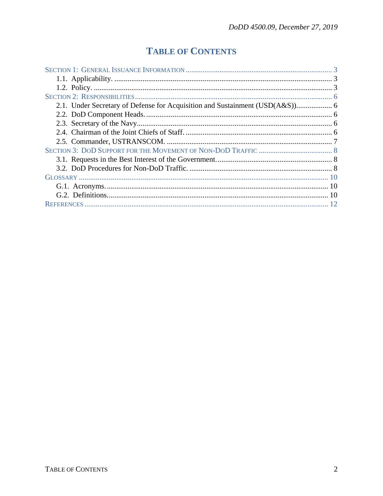## **TABLE OF CONTENTS**

| 2.1. Under Secretary of Defense for Acquisition and Sustainment (USD(A&S)) 6 |  |
|------------------------------------------------------------------------------|--|
|                                                                              |  |
|                                                                              |  |
|                                                                              |  |
|                                                                              |  |
|                                                                              |  |
|                                                                              |  |
|                                                                              |  |
|                                                                              |  |
|                                                                              |  |
|                                                                              |  |
|                                                                              |  |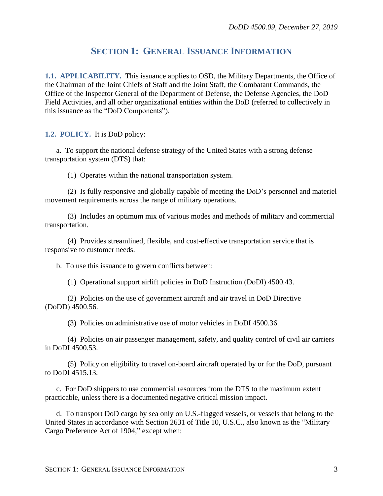## **SECTION 1: GENERAL ISSUANCE INFORMATION**

<span id="page-2-1"></span><span id="page-2-0"></span>**1.1. APPLICABILITY.** This issuance applies to OSD, the Military Departments, the Office of the Chairman of the Joint Chiefs of Staff and the Joint Staff, the Combatant Commands, the Office of the Inspector General of the Department of Defense, the Defense Agencies, the DoD Field Activities, and all other organizational entities within the DoD (referred to collectively in this issuance as the "DoD Components").

<span id="page-2-2"></span>**1.2. POLICY.** It is DoD policy:

a. To support the national defense strategy of the United States with a strong defense transportation system (DTS) that:

(1) Operates within the national transportation system.

(2) Is fully responsive and globally capable of meeting the DoD's personnel and materiel movement requirements across the range of military operations.

(3) Includes an optimum mix of various modes and methods of military and commercial transportation.

(4) Provides streamlined, flexible, and cost-effective transportation service that is responsive to customer needs.

b. To use this issuance to govern conflicts between:

(1) Operational support airlift policies in DoD Instruction (DoDI) 4500.43.

(2) Policies on the use of government aircraft and air travel in DoD Directive (DoDD) 4500.56.

(3) Policies on administrative use of motor vehicles in DoDI 4500.36.

(4) Policies on air passenger management, safety, and quality control of civil air carriers in DoDI 4500.53.

(5) Policy on eligibility to travel on-board aircraft operated by or for the DoD, pursuant to DoDI 4515.13.

c. For DoD shippers to use commercial resources from the DTS to the maximum extent practicable, unless there is a documented negative critical mission impact.

d. To transport DoD cargo by sea only on U.S.-flagged vessels, or vessels that belong to the United States in accordance with Section 2631 of Title 10, U.S.C., also known as the "Military Cargo Preference Act of 1904," except when: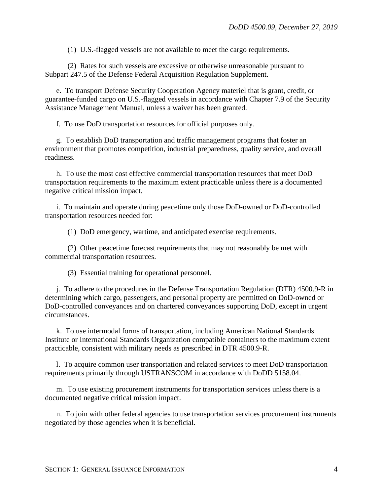(1) U.S.-flagged vessels are not available to meet the cargo requirements.

(2) Rates for such vessels are excessive or otherwise unreasonable pursuant to Subpart 247.5 of the Defense Federal Acquisition Regulation Supplement.

e. To transport Defense Security Cooperation Agency materiel that is grant, credit, or guarantee-funded cargo on U.S.-flagged vessels in accordance with Chapter 7.9 of the Security Assistance Management Manual, unless a waiver has been granted.

f. To use DoD transportation resources for official purposes only.

g. To establish DoD transportation and traffic management programs that foster an environment that promotes competition, industrial preparedness, quality service, and overall readiness.

h. To use the most cost effective commercial transportation resources that meet DoD transportation requirements to the maximum extent practicable unless there is a documented negative critical mission impact.

i. To maintain and operate during peacetime only those DoD-owned or DoD-controlled transportation resources needed for:

(1) DoD emergency, wartime, and anticipated exercise requirements.

(2) Other peacetime forecast requirements that may not reasonably be met with commercial transportation resources.

(3) Essential training for operational personnel.

j. To adhere to the procedures in the Defense Transportation Regulation (DTR) 4500.9-R in determining which cargo, passengers, and personal property are permitted on DoD-owned or DoD-controlled conveyances and on chartered conveyances supporting DoD, except in urgent circumstances.

k. To use intermodal forms of transportation, including American National Standards Institute or International Standards Organization compatible containers to the maximum extent practicable, consistent with military needs as prescribed in DTR 4500.9-R.

l. To acquire common user transportation and related services to meet DoD transportation requirements primarily through USTRANSCOM in accordance with DoDD 5158.04.

m. To use existing procurement instruments for transportation services unless there is a documented negative critical mission impact.

n. To join with other federal agencies to use transportation services procurement instruments negotiated by those agencies when it is beneficial.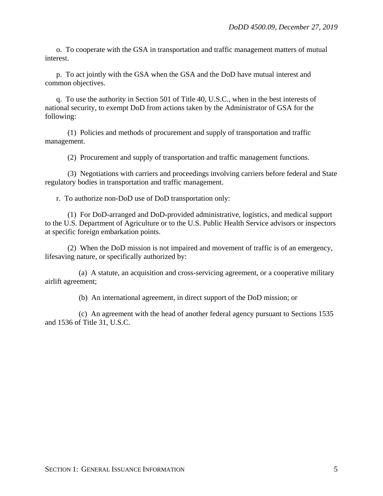o. To cooperate with the GSA in transportation and traffic management matters of mutual interest.

p. To act jointly with the GSA when the GSA and the DoD have mutual interest and common objectives.

q. To use the authority in Section 501 of Title 40, U.S.C., when in the best interests of national security, to exempt DoD from actions taken by the Administrator of GSA for the following:

(1) Policies and methods of procurement and supply of transportation and traffic management.

(2) Procurement and supply of transportation and traffic management functions.

(3) Negotiations with carriers and proceedings involving carriers before federal and State regulatory bodies in transportation and traffic management.

r. To authorize non-DoD use of DoD transportation only:

(1) For DoD-arranged and DoD-provided administrative, logistics, and medical support to the U.S. Department of Agriculture or to the U.S. Public Health Service advisors or inspectors at specific foreign embarkation points.

(2) When the DoD mission is not impaired and movement of traffic is of an emergency, lifesaving nature, or specifically authorized by:

(a) A statute, an acquisition and cross-servicing agreement, or a cooperative military airlift agreement;

(b) An international agreement, in direct support of the DoD mission; or

(c) An agreement with the head of another federal agency pursuant to Sections 1535 and 1536 of Title 31, U.S.C.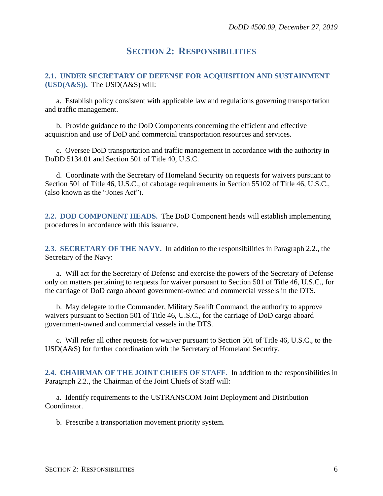### **SECTION 2: RESPONSIBILITIES**

#### <span id="page-5-1"></span><span id="page-5-0"></span>**2.1. UNDER SECRETARY OF DEFENSE FOR ACQUISITION AND SUSTAINMENT (USD(A&S)).** The USD(A&S) will:

a. Establish policy consistent with applicable law and regulations governing transportation and traffic management.

b. Provide guidance to the DoD Components concerning the efficient and effective acquisition and use of DoD and commercial transportation resources and services.

c. Oversee DoD transportation and traffic management in accordance with the authority in DoDD 5134.01 and Section 501 of Title 40, U.S.C.

d. Coordinate with the Secretary of Homeland Security on requests for waivers pursuant to Section 501 of Title 46, U.S.C., of cabotage requirements in Section 55102 of Title 46, U.S.C., (also known as the "Jones Act").

<span id="page-5-2"></span>**2.2. DOD COMPONENT HEADS.** The DoD Component heads will establish implementing procedures in accordance with this issuance.

<span id="page-5-3"></span>**2.3. SECRETARY OF THE NAVY.** In addition to the responsibilities in Paragraph 2.2., the Secretary of the Navy:

a. Will act for the Secretary of Defense and exercise the powers of the Secretary of Defense only on matters pertaining to requests for waiver pursuant to Section 501 of Title 46, U.S.C., for the carriage of DoD cargo aboard government-owned and commercial vessels in the DTS.

b. May delegate to the Commander, Military Sealift Command, the authority to approve waivers pursuant to Section 501 of Title 46, U.S.C., for the carriage of DoD cargo aboard government-owned and commercial vessels in the DTS.

c. Will refer all other requests for waiver pursuant to Section 501 of Title 46, U.S.C., to the USD(A&S) for further coordination with the Secretary of Homeland Security.

<span id="page-5-4"></span>**2.4. CHAIRMAN OF THE JOINT CHIEFS OF STAFF.** In addition to the responsibilities in Paragraph 2.2., the Chairman of the Joint Chiefs of Staff will:

a. Identify requirements to the USTRANSCOM Joint Deployment and Distribution Coordinator.

b. Prescribe a transportation movement priority system.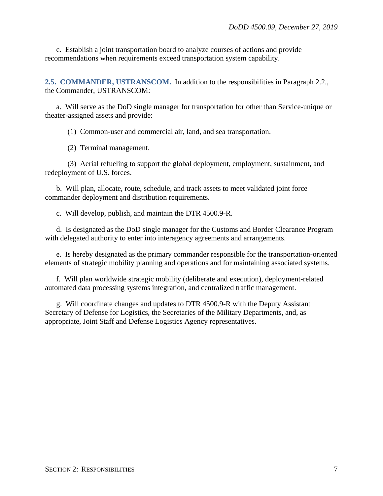c. Establish a joint transportation board to analyze courses of actions and provide recommendations when requirements exceed transportation system capability.

<span id="page-6-0"></span>**2.5. COMMANDER, USTRANSCOM.** In addition to the responsibilities in Paragraph 2.2., the Commander, USTRANSCOM:

a. Will serve as the DoD single manager for transportation for other than Service-unique or theater-assigned assets and provide:

(1) Common-user and commercial air, land, and sea transportation.

(2) Terminal management.

(3) Aerial refueling to support the global deployment, employment, sustainment, and redeployment of U.S. forces.

b. Will plan, allocate, route, schedule, and track assets to meet validated joint force commander deployment and distribution requirements.

c. Will develop, publish, and maintain the DTR 4500.9-R.

d. Is designated as the DoD single manager for the Customs and Border Clearance Program with delegated authority to enter into interagency agreements and arrangements.

e. Is hereby designated as the primary commander responsible for the transportation-oriented elements of strategic mobility planning and operations and for maintaining associated systems.

f. Will plan worldwide strategic mobility (deliberate and execution), deployment-related automated data processing systems integration, and centralized traffic management.

g. Will coordinate changes and updates to DTR 4500.9-R with the Deputy Assistant Secretary of Defense for Logistics, the Secretaries of the Military Departments, and, as appropriate, Joint Staff and Defense Logistics Agency representatives.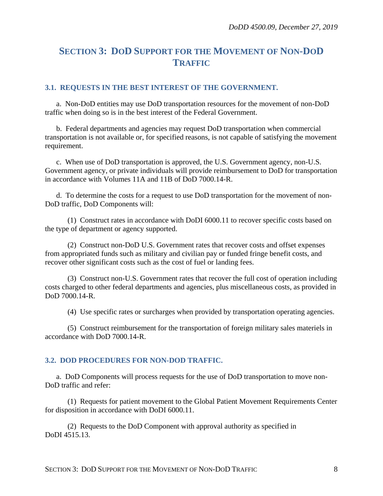## <span id="page-7-0"></span>**SECTION 3: DOD SUPPORT FOR THE MOVEMENT OF NON-DOD TRAFFIC**

### <span id="page-7-1"></span>**3.1. REQUESTS IN THE BEST INTEREST OF THE GOVERNMENT.**

a. Non-DoD entities may use DoD transportation resources for the movement of non-DoD traffic when doing so is in the best interest of the Federal Government.

b. Federal departments and agencies may request DoD transportation when commercial transportation is not available or, for specified reasons, is not capable of satisfying the movement requirement.

c. When use of DoD transportation is approved, the U.S. Government agency, non-U.S. Government agency, or private individuals will provide reimbursement to DoD for transportation in accordance with Volumes 11A and 11B of DoD 7000.14-R.

d. To determine the costs for a request to use DoD transportation for the movement of non-DoD traffic, DoD Components will:

(1) Construct rates in accordance with DoDI 6000.11 to recover specific costs based on the type of department or agency supported.

(2) Construct non-DoD U.S. Government rates that recover costs and offset expenses from appropriated funds such as military and civilian pay or funded fringe benefit costs, and recover other significant costs such as the cost of fuel or landing fees.

(3) Construct non-U.S. Government rates that recover the full cost of operation including costs charged to other federal departments and agencies, plus miscellaneous costs, as provided in DoD 7000.14-R.

(4) Use specific rates or surcharges when provided by transportation operating agencies.

(5) Construct reimbursement for the transportation of foreign military sales materiels in accordance with DoD 7000.14-R.

#### <span id="page-7-2"></span>**3.2. DOD PROCEDURES FOR NON-DOD TRAFFIC.**

a. DoD Components will process requests for the use of DoD transportation to move non-DoD traffic and refer:

(1) Requests for patient movement to the Global Patient Movement Requirements Center for disposition in accordance with DoDI 6000.11.

(2) Requests to the DoD Component with approval authority as specified in DoDI 4515.13.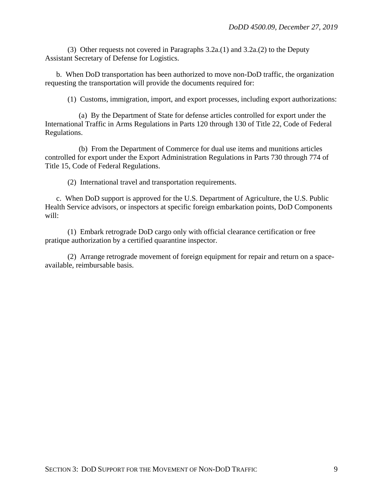(3) Other requests not covered in Paragraphs 3.2a.(1) and 3.2a.(2) to the Deputy Assistant Secretary of Defense for Logistics.

b. When DoD transportation has been authorized to move non-DoD traffic, the organization requesting the transportation will provide the documents required for:

(1) Customs, immigration, import, and export processes, including export authorizations:

(a) By the Department of State for defense articles controlled for export under the International Traffic in Arms Regulations in Parts 120 through 130 of Title 22, Code of Federal Regulations.

(b) From the Department of Commerce for dual use items and munitions articles controlled for export under the Export Administration Regulations in Parts 730 through 774 of Title 15, Code of Federal Regulations.

(2) International travel and transportation requirements.

c. When DoD support is approved for the U.S. Department of Agriculture, the U.S. Public Health Service advisors, or inspectors at specific foreign embarkation points, DoD Components will:

(1) Embark retrograde DoD cargo only with official clearance certification or free pratique authorization by a certified quarantine inspector.

(2) Arrange retrograde movement of foreign equipment for repair and return on a spaceavailable, reimbursable basis.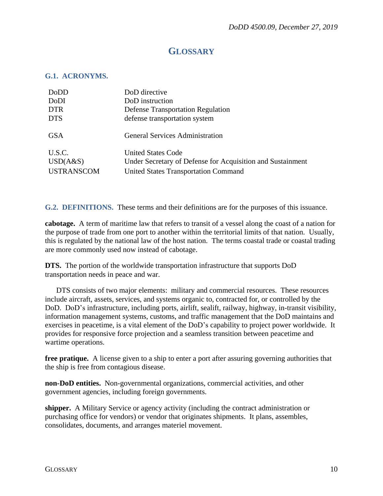### **GLOSSARY**

#### <span id="page-9-1"></span><span id="page-9-0"></span>**G.1. ACRONYMS.**

| DoD directive                                              |
|------------------------------------------------------------|
| DoD instruction                                            |
| <b>Defense Transportation Regulation</b>                   |
| defense transportation system                              |
| <b>General Services Administration</b>                     |
| <b>United States Code</b>                                  |
| Under Secretary of Defense for Acquisition and Sustainment |
| <b>United States Transportation Command</b>                |
|                                                            |

<span id="page-9-2"></span>**G.2. DEFINITIONS.** These terms and their definitions are for the purposes of this issuance.

**cabotage.** A term of maritime law that refers to transit of a vessel along the coast of a nation for the purpose of trade from one port to another within the territorial limits of that nation. Usually, this is regulated by the national law of the host nation. The terms coastal trade or coastal trading are more commonly used now instead of cabotage.

**DTS.** The portion of the worldwide transportation infrastructure that supports DoD transportation needs in peace and war.

DTS consists of two major elements: military and commercial resources. These resources include aircraft, assets, services, and systems organic to, contracted for, or controlled by the DoD. DoD's infrastructure, including ports, airlift, sealift, railway, highway, in-transit visibility, information management systems, customs, and traffic management that the DoD maintains and exercises in peacetime, is a vital element of the DoD's capability to project power worldwide. It provides for responsive force projection and a seamless transition between peacetime and wartime operations.

**free pratique.** A license given to a ship to enter a port after assuring governing authorities that the ship is free from contagious disease.

**non-DoD entities.** Non-governmental organizations, commercial activities, and other government agencies, including foreign governments.

**shipper.** A Military Service or agency activity (including the contract administration or purchasing office for vendors) or vendor that originates shipments. It plans, assembles, consolidates, documents, and arranges materiel movement.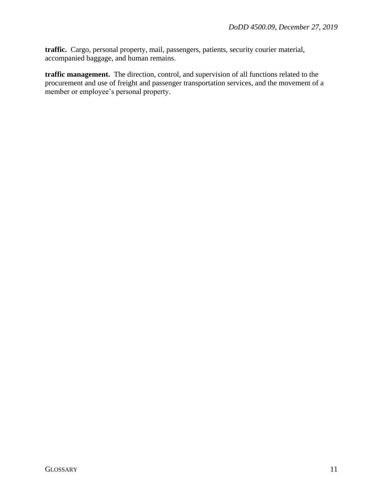**traffic.** Cargo, personal property, mail, passengers, patients, security courier material, accompanied baggage, and human remains.

**traffic management.** The direction, control, and supervision of all functions related to the procurement and use of freight and passenger transportation services, and the movement of a member or employee's personal property.